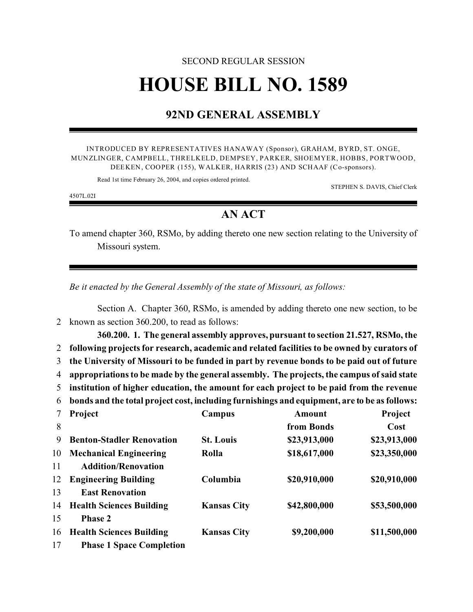## SECOND REGULAR SESSION **HOUSE BILL NO. 1589**

## **92ND GENERAL ASSEMBLY**

INTRODUCED BY REPRESENTATIVES HANAWAY (Sponsor), GRAHAM, BYRD, ST. ONGE, MUNZLINGER, CAMPBELL, THRELKELD, DEMPSEY, PARKER, SHOEMYER, HOBBS, PORTWOOD, DEEKEN, COOPER (155), WALKER, HARRIS (23) AND SCHAAF (Co-sponsors).

Read 1st time February 26, 2004, and copies ordered printed.

STEPHEN S. DAVIS, Chief Clerk

4507L.02I

15 **Phase 2**

17 **Phase 1 Space Completion**

## **AN ACT**

To amend chapter 360, RSMo, by adding thereto one new section relating to the University of Missouri system.

*Be it enacted by the General Assembly of the state of Missouri, as follows:*

Section A. Chapter 360, RSMo, is amended by adding thereto one new section, to be 2 known as section 360.200, to read as follows:

**360.200. 1. The general assembly approves, pursuant to section 21.527, RSMo, the following projects for research, academic and related facilities to be owned by curators of the University of Missouri to be funded in part by revenue bonds to be paid out of future appropriations to be made by the general assembly. The projects, the campus of said state institution of higher education, the amount for each project to be paid from the revenue bonds and the total project cost, including furnishings and equipment, are to be as follows: Project Campus Amount Project from Bonds Cost Benton-Stadler Renovation St. Louis \$23,913,000 \$23,913,000 Mechanical Engineering Rolla \$18,617,000 \$23,350,000 Addition/Renovation Engineering Building Columbia \$20,910,000 \$20,910,000 East Renovation Health Sciences Building Kansas City \$42,800,000 \$53,500,000**

16 **Health Sciences Building Kansas City \$9,200,000 \$11,500,000**